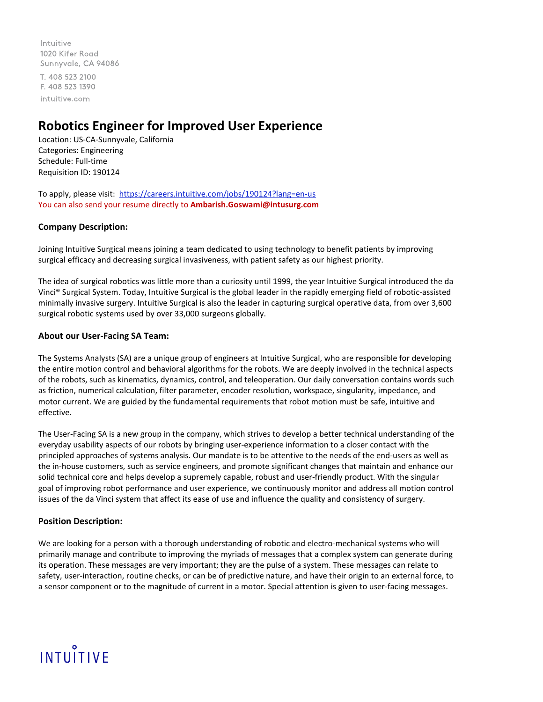Intuitive 1020 Kifer Road Sunnyvale, CA 94086 T. 408 523 2100 F. 408 523 1390 intuitive.com

### **Robotics Engineer for Improved User Experience**

Location: US-CA-Sunnyvale, California Categories: Engineering Schedule: Full-time Requisition ID: 190124

To apply, please visit:<https://careers.intuitive.com/jobs/190124?lang=en-us> You can also send your resume directly to **Ambarish.Goswami@intusurg.com**

### **Company Description:**

Joining Intuitive Surgical means joining a team dedicated to using technology to benefit patients by improving surgical efficacy and decreasing surgical invasiveness, with patient safety as our highest priority.

The idea of surgical robotics was little more than a curiosity until 1999, the year Intuitive Surgical introduced the da Vinci® Surgical System. Today, Intuitive Surgical is the global leader in the rapidly emerging field of robotic-assisted minimally invasive surgery. Intuitive Surgical is also the leader in capturing surgical operative data, from over 3,600 surgical robotic systems used by over 33,000 surgeons globally.

### **About our User-Facing SA Team:**

The Systems Analysts (SA) are a unique group of engineers at Intuitive Surgical, who are responsible for developing the entire motion control and behavioral algorithms for the robots. We are deeply involved in the technical aspects of the robots, such as kinematics, dynamics, control, and teleoperation. Our daily conversation contains words such as friction, numerical calculation, filter parameter, encoder resolution, workspace, singularity, impedance, and motor current. We are guided by the fundamental requirements that robot motion must be safe, intuitive and effective.

The User-Facing SA is a new group in the company, which strives to develop a better technical understanding of the everyday usability aspects of our robots by bringing user-experience information to a closer contact with the principled approaches of systems analysis. Our mandate is to be attentive to the needs of the end-users as well as the in-house customers, such as service engineers, and promote significant changes that maintain and enhance our solid technical core and helps develop a supremely capable, robust and user-friendly product. With the singular goal of improving robot performance and user experience, we continuously monitor and address all motion control issues of the da Vinci system that affect its ease of use and influence the quality and consistency of surgery.

### **Position Description:**

We are looking for a person with a thorough understanding of robotic and electro-mechanical systems who will primarily manage and contribute to improving the myriads of messages that a complex system can generate during its operation. These messages are very important; they are the pulse of a system. These messages can relate to safety, user-interaction, routine checks, or can be of predictive nature, and have their origin to an external force, to a sensor component or to the magnitude of current in a motor. Special attention is given to user-facing messages.

# INTUITIVE